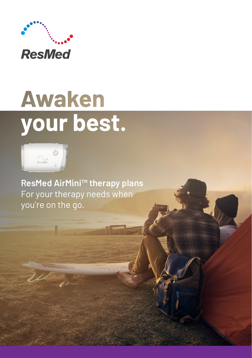

# **Awaken** your best.



**ResMed AirMini™ therapy plans** For your therapy needs when you're on the go.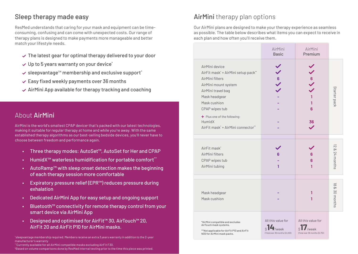## Sleep therapy made easy

ResMed understands that caring for your mask and equipment can be timeconsuming, confusing and can come with unexpected costs. Our range of therapy plans is designed to make payments more manageable and better match your lifestyle needs.

- $\vee$  The latest gear for optimal therapy delivered to your door
- $\vee$  Up to 5 years warranty on your device\*
- $\vee$  sleepvantage™ membership and exclusive support\*
- $\vee$  Easy fixed weekly payments over 36 months
- $\vee$  AirMini App available for therapy tracking and coaching

#### About AirMini

AirMini is the world's smallest CPAP device† that's packed with our latest technologies, making it suitable for regular therapy at home and while you're away. With the same established therapy algorithms as our best-selling bedside devices, you'll never have to choose between freedom and performance again.

- Three therapy modes: AutoSet™, AutoSet for Her and CPAP
- HumidX<sup>™</sup> waterless humidification for portable comfort\*\*
- AutoRamp™ with sleep onset detection makes the beginning of each therapy session more comfortable
- Expiratory pressure relief (EPR™) reduces pressure during exhalation
- Dedicated AirMini App for easy setup and ongoing support
- Bluetooth™ connectivity for remote therapy control from your smart device via AirMini App
- Designed and optimised for AirFit™ 30, AirTouch™ 20, AirFit 20 and AirFit P10 for AirMini masks.

\* sleepvantage membership required. Members receive an extra 3 years warranty in addition to the 2-year manufacturer's warranty

\*\*Currently available for all AirMini compatible masks excluding AirFit F30.

† Based on volume comparisons done by ResMed internal testing prior to the time this piece was printed.

## AirMini therapy plan options

Our AirMini plans are designed to make your therapy experience as seamless as possible. The table below describes what items you can expect to receive in each plan and how often you'll receive them.

|                                                                                                                                                                                                                                                           | AirMini<br><b>Basic</b>                                       | AirMini<br>Premium                                            |                                    |
|-----------------------------------------------------------------------------------------------------------------------------------------------------------------------------------------------------------------------------------------------------------|---------------------------------------------------------------|---------------------------------------------------------------|------------------------------------|
| AirMini device<br>AirFit mask* + AirMini setup pack**<br>AirMini filters<br>AirMini mount system<br>AirMini travel bag<br>Mask headgear<br>Mask cushion<br>CPAP wipes tub<br>+ Plus one of the following:<br>HumidX<br>AirFit mask* + AirMini connector** | $\left\langle \right\rangle \circ \left\langle \right\rangle$ | $\frac{6}{1}$<br>1<br>6<br>36                                 | Starter pack                       |
|                                                                                                                                                                                                                                                           |                                                               |                                                               |                                    |
| AirFit mask*<br>AirMini filters<br>CPAP wipes tub<br>AirMini tubing                                                                                                                                                                                       | 6<br>1                                                        | 6<br>6<br>1                                                   | 12<br>& 24 months                  |
| Mask headgear<br>Mask cushion                                                                                                                                                                                                                             |                                                               | 1<br>1                                                        | $\overline{\infty}$<br>& 30 months |
| *AirMini compatible and excludes<br>AirTouch mask systems.<br>**Not applicable for AirFit P10 and AirFit<br>N30 for AirMini mask packs.                                                                                                                   | All this value for<br>/week<br>(Total over 36 months \$2,283) | All this value for<br>/week<br>(Total over 36 months \$2,751) |                                    |